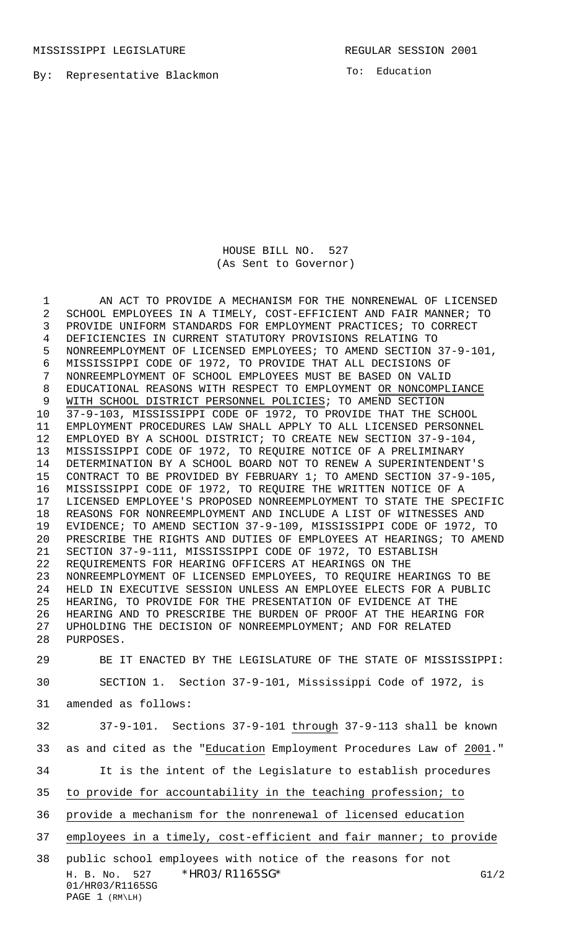MISSISSIPPI LEGISLATURE **REGULAR SESSION 2001** 

To: Education

## HOUSE BILL NO. 527 (As Sent to Governor)

H. B. No. 527 \*HRO3/R1165SG\* G1/2 01/HR03/R1165SG 1 AN ACT TO PROVIDE A MECHANISM FOR THE NONRENEWAL OF LICENSED SCHOOL EMPLOYEES IN A TIMELY, COST-EFFICIENT AND FAIR MANNER; TO PROVIDE UNIFORM STANDARDS FOR EMPLOYMENT PRACTICES; TO CORRECT DEFICIENCIES IN CURRENT STATUTORY PROVISIONS RELATING TO NONREEMPLOYMENT OF LICENSED EMPLOYEES; TO AMEND SECTION 37-9-101, MISSISSIPPI CODE OF 1972, TO PROVIDE THAT ALL DECISIONS OF NONREEMPLOYMENT OF SCHOOL EMPLOYEES MUST BE BASED ON VALID EDUCATIONAL REASONS WITH RESPECT TO EMPLOYMENT OR NONCOMPLIANCE 9 WITH SCHOOL DISTRICT PERSONNEL POLICIES; TO AMEND SECTION 37-9-103, MISSISSIPPI CODE OF 1972, TO PROVIDE THAT THE SCHOOL EMPLOYMENT PROCEDURES LAW SHALL APPLY TO ALL LICENSED PERSONNEL EMPLOYED BY A SCHOOL DISTRICT; TO CREATE NEW SECTION 37-9-104, MISSISSIPPI CODE OF 1972, TO REQUIRE NOTICE OF A PRELIMINARY DETERMINATION BY A SCHOOL BOARD NOT TO RENEW A SUPERINTENDENT'S CONTRACT TO BE PROVIDED BY FEBRUARY 1; TO AMEND SECTION 37-9-105, MISSISSIPPI CODE OF 1972, TO REQUIRE THE WRITTEN NOTICE OF A LICENSED EMPLOYEE'S PROPOSED NONREEMPLOYMENT TO STATE THE SPECIFIC REASONS FOR NONREEMPLOYMENT AND INCLUDE A LIST OF WITNESSES AND EVIDENCE; TO AMEND SECTION 37-9-109, MISSISSIPPI CODE OF 1972, TO PRESCRIBE THE RIGHTS AND DUTIES OF EMPLOYEES AT HEARINGS; TO AMEND SECTION 37-9-111, MISSISSIPPI CODE OF 1972, TO ESTABLISH REQUIREMENTS FOR HEARING OFFICERS AT HEARINGS ON THE NONREEMPLOYMENT OF LICENSED EMPLOYEES, TO REQUIRE HEARINGS TO BE HELD IN EXECUTIVE SESSION UNLESS AN EMPLOYEE ELECTS FOR A PUBLIC HEARING, TO PROVIDE FOR THE PRESENTATION OF EVIDENCE AT THE HEARING AND TO PRESCRIBE THE BURDEN OF PROOF AT THE HEARING FOR UPHOLDING THE DECISION OF NONREEMPLOYMENT; AND FOR RELATED PURPOSES. BE IT ENACTED BY THE LEGISLATURE OF THE STATE OF MISSISSIPPI: SECTION 1. Section 37-9-101, Mississippi Code of 1972, is amended as follows: 37-9-101. Sections 37-9-101 through 37-9-113 shall be known as and cited as the "Education Employment Procedures Law of 2001." It is the intent of the Legislature to establish procedures to provide for accountability in the teaching profession; to provide a mechanism for the nonrenewal of licensed education employees in a timely, cost-efficient and fair manner; to provide public school employees with notice of the reasons for not

## PAGE 1 (RM\LH)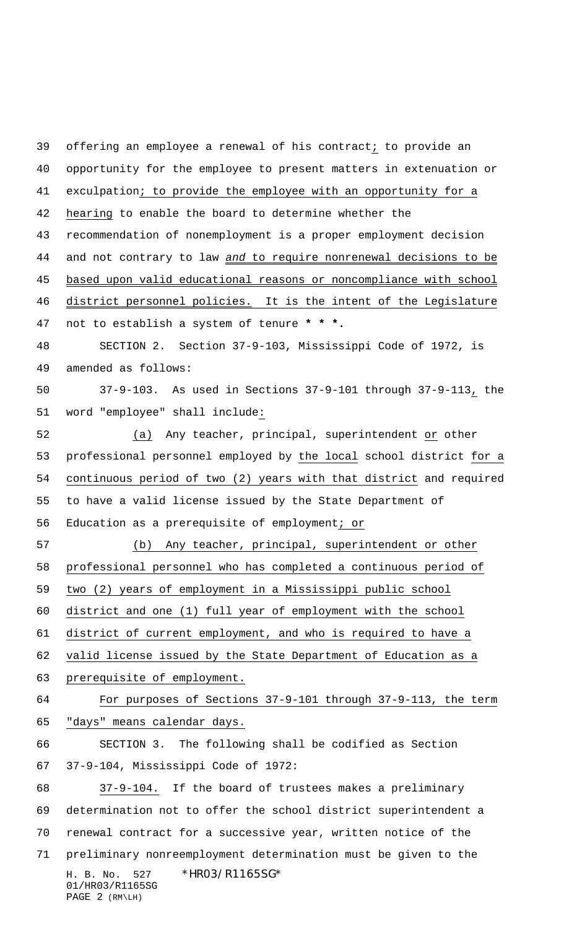H. B. No. 527 \*HR03/R1165SG\* 01/HR03/R1165SG offering an employee a renewal of his contract; to provide an opportunity for the employee to present matters in extenuation or exculpation; to provide the employee with an opportunity for a hearing to enable the board to determine whether the recommendation of nonemployment is a proper employment decision 44 and not contrary to law and to require nonrenewal decisions to be based upon valid educational reasons or noncompliance with school district personnel policies. It is the intent of the Legislature not to establish a system of tenure **\* \* \*.** SECTION 2. Section 37-9-103, Mississippi Code of 1972, is amended as follows: 37-9-103. As used in Sections 37-9-101 through 37-9-113, the word "employee" shall include: (a) Any teacher, principal, superintendent or other professional personnel employed by the local school district for a continuous period of two (2) years with that district and required to have a valid license issued by the State Department of Education as a prerequisite of employment; or (b) Any teacher, principal, superintendent or other professional personnel who has completed a continuous period of two (2) years of employment in a Mississippi public school district and one (1) full year of employment with the school district of current employment, and who is required to have a valid license issued by the State Department of Education as a prerequisite of employment. For purposes of Sections 37-9-101 through 37-9-113, the term "days" means calendar days. SECTION 3. The following shall be codified as Section 37-9-104, Mississippi Code of 1972: 37-9-104. If the board of trustees makes a preliminary determination not to offer the school district superintendent a renewal contract for a successive year, written notice of the preliminary nonreemployment determination must be given to the

## PAGE 2 (RM\LH)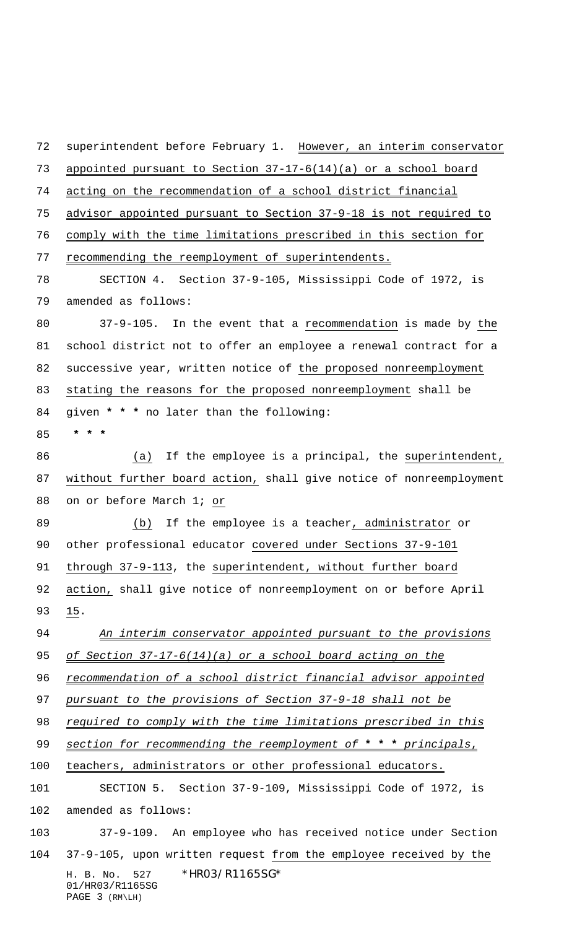H. B. No. 527 \*HR03/R1165SG\* 01/HR03/R1165SG PAGE 3 (RM\LH) 72 superintendent before February 1. However, an interim conservator appointed pursuant to Section 37-17-6(14)(a) or a school board acting on the recommendation of a school district financial advisor appointed pursuant to Section 37-9-18 is not required to comply with the time limitations prescribed in this section for 77 recommending the reemployment of superintendents. SECTION 4. Section 37-9-105, Mississippi Code of 1972, is amended as follows: 37-9-105. In the event that a recommendation is made by the school district not to offer an employee a renewal contract for a successive year, written notice of the proposed nonreemployment stating the reasons for the proposed nonreemployment shall be given **\* \* \*** no later than the following:  **\* \* \*** (a) If the employee is a principal, the superintendent, without further board action, shall give notice of nonreemployment on or before March 1; or (b) If the employee is a teacher, administrator or other professional educator covered under Sections 37-9-101 through 37-9-113, the superintendent, without further board action, shall give notice of nonreemployment on or before April 15. 94 An interim conservator appointed pursuant to the provisions 95 of Section 37-17-6(14)(a) or a school board acting on the 96 recommendation of a school district financial advisor appointed 97 pursuant to the provisions of Section 37-9-18 shall not be 98 required to comply with the time limitations prescribed in this section for recommending the reemployment of **\* \* \*** principals, teachers, administrators or other professional educators. SECTION 5. Section 37-9-109, Mississippi Code of 1972, is amended as follows: 37-9-109. An employee who has received notice under Section 37-9-105, upon written request from the employee received by the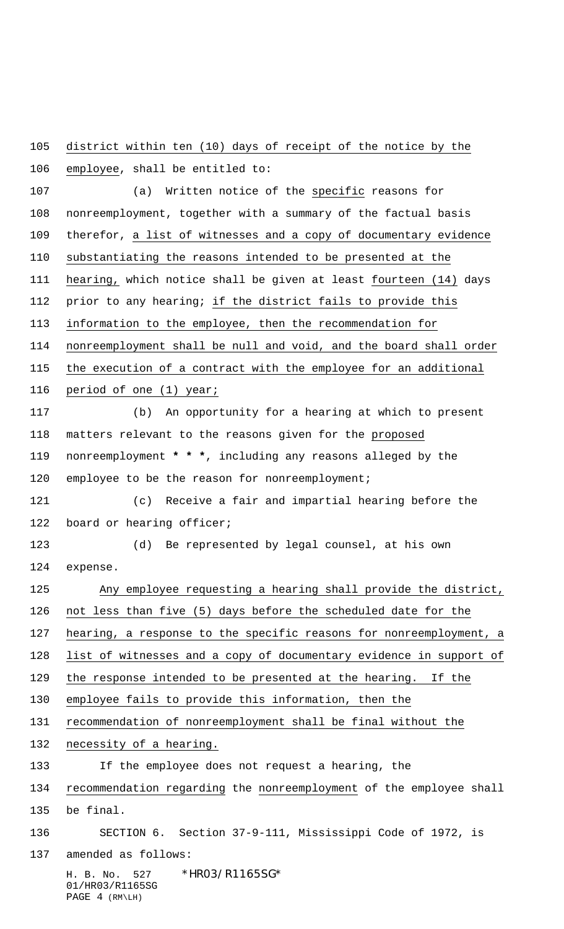district within ten (10) days of receipt of the notice by the

H. B. No. 527 \*HR03/R1165SG\* 01/HR03/R1165SG PAGE 4 (RM\LH) employee, shall be entitled to: (a) Written notice of the specific reasons for nonreemployment, together with a summary of the factual basis 109 therefor, a list of witnesses and a copy of documentary evidence substantiating the reasons intended to be presented at the hearing, which notice shall be given at least fourteen (14) days prior to any hearing; if the district fails to provide this information to the employee, then the recommendation for nonreemployment shall be null and void, and the board shall order the execution of a contract with the employee for an additional period of one (1) year; (b) An opportunity for a hearing at which to present matters relevant to the reasons given for the proposed nonreemployment **\* \* \***, including any reasons alleged by the 120 employee to be the reason for nonreemployment; (c) Receive a fair and impartial hearing before the 122 board or hearing officer; (d) Be represented by legal counsel, at his own expense. Any employee requesting a hearing shall provide the district, not less than five (5) days before the scheduled date for the hearing, a response to the specific reasons for nonreemployment, a list of witnesses and a copy of documentary evidence in support of the response intended to be presented at the hearing. If the employee fails to provide this information, then the recommendation of nonreemployment shall be final without the necessity of a hearing. If the employee does not request a hearing, the recommendation regarding the nonreemployment of the employee shall be final. SECTION 6. Section 37-9-111, Mississippi Code of 1972, is amended as follows: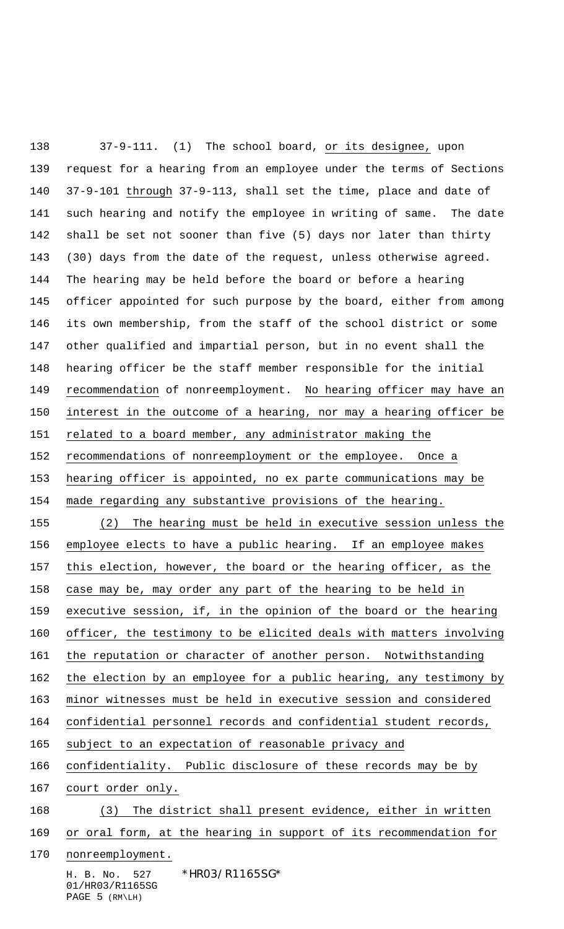H. B. No. 527 \*HR03/R1165SG\* 01/HR03/R1165SG 37-9-111. (1) The school board, or its designee, upon request for a hearing from an employee under the terms of Sections 37-9-101 through 37-9-113, shall set the time, place and date of such hearing and notify the employee in writing of same. The date shall be set not sooner than five (5) days nor later than thirty (30) days from the date of the request, unless otherwise agreed. The hearing may be held before the board or before a hearing officer appointed for such purpose by the board, either from among its own membership, from the staff of the school district or some other qualified and impartial person, but in no event shall the hearing officer be the staff member responsible for the initial recommendation of nonreemployment. No hearing officer may have an interest in the outcome of a hearing, nor may a hearing officer be related to a board member, any administrator making the recommendations of nonreemployment or the employee. Once a hearing officer is appointed, no ex parte communications may be made regarding any substantive provisions of the hearing. (2) The hearing must be held in executive session unless the employee elects to have a public hearing. If an employee makes this election, however, the board or the hearing officer, as the case may be, may order any part of the hearing to be held in executive session, if, in the opinion of the board or the hearing officer, the testimony to be elicited deals with matters involving 161 the reputation or character of another person. Notwithstanding 162 the election by an employee for a public hearing, any testimony by minor witnesses must be held in executive session and considered confidential personnel records and confidential student records, subject to an expectation of reasonable privacy and 166 confidentiality. Public disclosure of these records may be by court order only. (3) The district shall present evidence, either in written or oral form, at the hearing in support of its recommendation for nonreemployment.

PAGE 5 (RM\LH)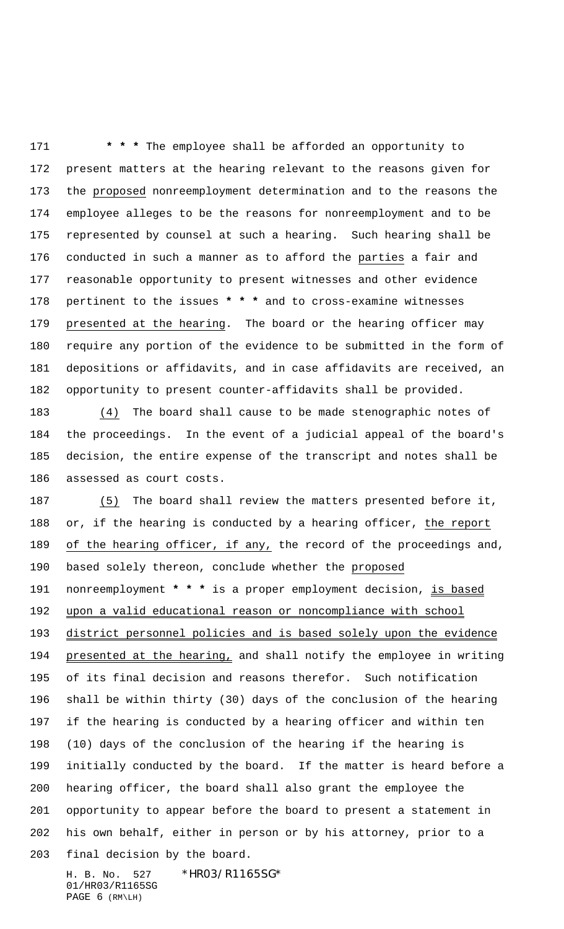**\* \* \*** The employee shall be afforded an opportunity to present matters at the hearing relevant to the reasons given for the proposed nonreemployment determination and to the reasons the employee alleges to be the reasons for nonreemployment and to be represented by counsel at such a hearing. Such hearing shall be conducted in such a manner as to afford the parties a fair and reasonable opportunity to present witnesses and other evidence pertinent to the issues **\* \* \*** and to cross-examine witnesses presented at the hearing. The board or the hearing officer may require any portion of the evidence to be submitted in the form of depositions or affidavits, and in case affidavits are received, an opportunity to present counter-affidavits shall be provided.

 (4) The board shall cause to be made stenographic notes of the proceedings. In the event of a judicial appeal of the board's decision, the entire expense of the transcript and notes shall be assessed as court costs.

 (5) The board shall review the matters presented before it, or, if the hearing is conducted by a hearing officer, the report of the hearing officer, if any, the record of the proceedings and, based solely thereon, conclude whether the proposed nonreemployment **\* \* \*** is a proper employment decision, is based upon a valid educational reason or noncompliance with school district personnel policies and is based solely upon the evidence 194 presented at the hearing, and shall notify the employee in writing of its final decision and reasons therefor. Such notification shall be within thirty (30) days of the conclusion of the hearing if the hearing is conducted by a hearing officer and within ten (10) days of the conclusion of the hearing if the hearing is initially conducted by the board. If the matter is heard before a hearing officer, the board shall also grant the employee the opportunity to appear before the board to present a statement in his own behalf, either in person or by his attorney, prior to a final decision by the board.

H. B. No. 527 \*HR03/R1165SG\* 01/HR03/R1165SG PAGE 6 (RM\LH)